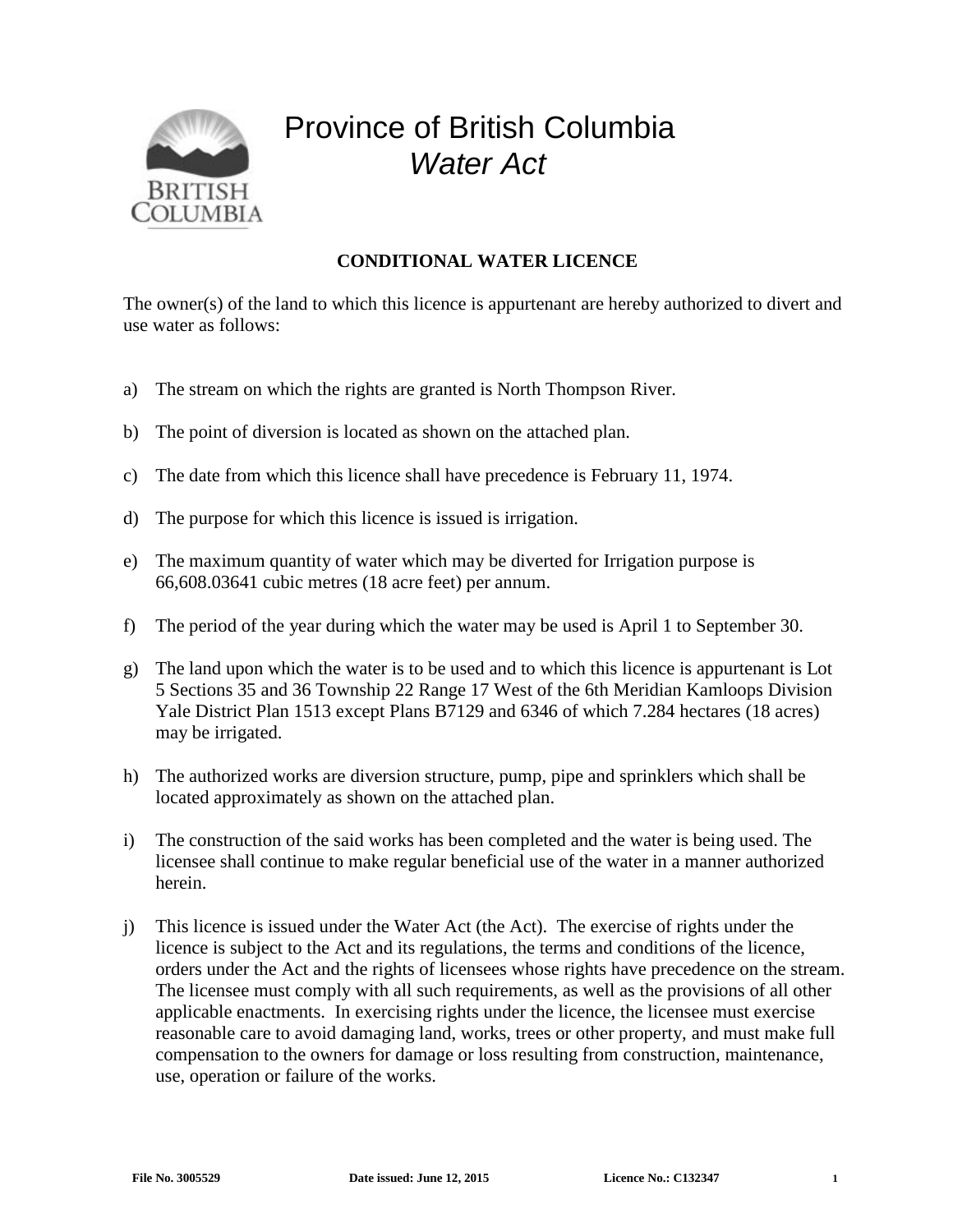

## Province of British Columbia *Water Act*

## **CONDITIONAL WATER LICENCE**

The owner(s) of the land to which this licence is appurtenant are hereby authorized to divert and use water as follows:

- a) The stream on which the rights are granted is North Thompson River.
- b) The point of diversion is located as shown on the attached plan.
- c) The date from which this licence shall have precedence is February 11, 1974.
- d) The purpose for which this licence is issued is irrigation.
- e) The maximum quantity of water which may be diverted for Irrigation purpose is 66,608.03641 cubic metres (18 acre feet) per annum.
- f) The period of the year during which the water may be used is April 1 to September 30.
- g) The land upon which the water is to be used and to which this licence is appurtenant is Lot 5 Sections 35 and 36 Township 22 Range 17 West of the 6th Meridian Kamloops Division Yale District Plan 1513 except Plans B7129 and 6346 of which 7.284 hectares (18 acres) may be irrigated.
- h) The authorized works are diversion structure, pump, pipe and sprinklers which shall be located approximately as shown on the attached plan.
- i) The construction of the said works has been completed and the water is being used. The licensee shall continue to make regular beneficial use of the water in a manner authorized herein.
- j) This licence is issued under the Water Act (the Act). The exercise of rights under the licence is subject to the Act and its regulations, the terms and conditions of the licence, orders under the Act and the rights of licensees whose rights have precedence on the stream. The licensee must comply with all such requirements, as well as the provisions of all other applicable enactments. In exercising rights under the licence, the licensee must exercise reasonable care to avoid damaging land, works, trees or other property, and must make full compensation to the owners for damage or loss resulting from construction, maintenance, use, operation or failure of the works.